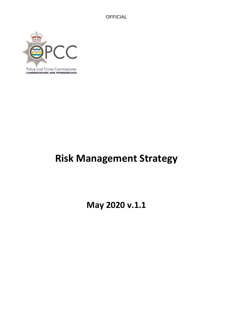

**CAMBRIDGESHIRE AND PETERBOROUGH** 

# **Risk Management Strategy**

**May 2020 v.1.1**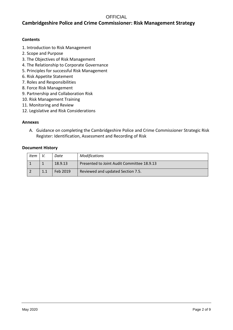# **Cambridgeshire Police and Crime Commissioner: Risk Management Strategy**

### **Contents**

- 1. Introduction to Risk Management
- 2. Scope and Purpose
- 3. The Objectives of Risk Management
- 4. The Relationship to Corporate Governance
- 5. Principles for successful Risk Management
- 6. Risk Appetite Statement
- 7. Roles and Responsibilities
- 8. Force Risk Management
- 9. Partnership and Collaboration Risk
- 10. Risk Management Training
- 11. Monitoring and Review
- 12. Legislative and Risk Considerations

#### **Annexes**

A. Guidance on completing the Cambridgeshire Police and Crime Commissioner Strategic Risk Register: Identification, Assessment and Recording of Risk

#### **Document History**

| Item | Date     | <b>Modifications</b>                       |
|------|----------|--------------------------------------------|
|      | 18.9.13  | Presented to Joint Audit Committee 18.9.13 |
|      | Feb 2019 | Reviewed and updated Section 7.5.          |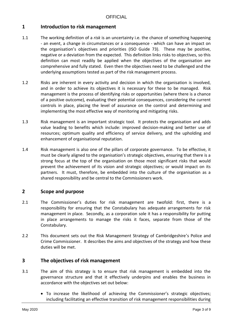# **1 Introduction to risk management**

- 1.1 The working definition of a *risk* is an uncertainty i.e. the chance of something happening - an event, a change in circumstances or a consequence - which can have an impact on the organisation's objectives and priorities (ISO Guide 73). These may be positive, negative or a deviation from the expected. This definition links risks to objectives, so this definition can most readily be applied when the objectives of the organisation are comprehensive and fully stated. Even then the objectives need to be challenged and the underlying assumptions tested as part of the risk management process.
- 1.2 Risks are inherent in every activity and decision in which the organisation is involved, and in order to achieve its objectives it is necessary for these to be managed. Risk management is the process of identifying risks or opportunities (where there is a chance of a positive outcome), evaluating their potential consequences, considering the current controls in place, placing the level of assurance on the control and determining and implementing the most effective way of monitoring and mitigating risks.
- 1.3 Risk management is an important strategic tool. It protects the organisation and adds value leading to benefits which include: improved decision-making and better use of resources; optimum quality and efficiency of service delivery, and the upholding and enhancement of organisational reputation.
- 1.4 Risk management is also one of the pillars of corporate governance. To be effective, it must be clearly aligned to the organisation's strategic objectives, ensuring that there is a strong focus at the top of the organisation on those most significant risks that would prevent the achievement of its vision and strategic objectives; or would impact on its partners. It must, therefore, be embedded into the culture of the organisation as a shared responsibility and be central to the Commissioners work.

# **2 Scope and purpose**

- 2.1 The Commissioner's duties for risk management are twofold: first, there is a responsibility for ensuring that the Constabulary has adequate arrangements for risk management in place. Secondly, as a corporation sole it has a responsibility for putting in place arrangements to manage the risks it faces, separate from those of the Constabulary.
- 2.2 This document sets out the Risk Management Strategy of Cambridgeshire's Police and Crime Commissioner. It describes the aims and objectives of the strategy and how these duties will be met.

## **3 The objectives of risk management**

- 3.1 The aim of this strategy is to ensure that risk management is embedded into the governance structure and that it effectively underpins and enables the business in accordance with the objectives set out below:
	- To increase the likelihood of achieving the Commissioner's strategic objectives; including facilitating an effective transition of risk management responsibilities during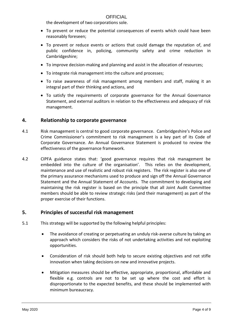the development of two corporations sole.

- To prevent or reduce the potential consequences of events which could have been reasonably foreseen;
- To prevent or reduce events or actions that could damage the reputation of, and public confidence in, policing, community safety and crime reduction in Cambridgeshire;
- To improve decision-making and planning and assist in the allocation of resources;
- To integrate risk management into the culture and processes;
- To raise awareness of risk management among members and staff, making it an integral part of their thinking and actions, and
- To satisfy the requirements of corporate governance for the Annual Governance Statement, and external auditors in relation to the effectiveness and adequacy of risk management.

# **4. Relationship to corporate governance**

- 4.1 Risk management is central to good corporate governance. Cambridgeshire's Police and Crime Commissioner's commitment to risk management is a key part of its Code of Corporate Governance. An Annual Governance Statement is produced to review the effectiveness of the governance framework.
- 4.2 CIPFA guidance states that: 'good governance requires that risk management be embedded into the culture of the organisation'. This relies on the development, maintenance and use of realistic and robust risk registers. The risk register is also one of the primary assurance mechanisms used to produce and sign off the Annual Governance Statement and the Annual Statement of Accounts. The commitment to developing and maintaining the risk register is based on the principle that all Joint Audit Committee members should be able to review strategic risks (and their management) as part of the proper exercise of their functions.

## **5. Principles of successful risk management**

- 5.1 This strategy will be supported by the following helpful principles:
	- The avoidance of creating or perpetuating an unduly risk-averse culture by taking an approach which considers the risks of not undertaking activities and not exploiting opportunities.
	- Consideration of risk should both help to secure existing objectives and not stifle innovation when taking decisions on new and innovative projects.
	- Mitigation measures should be effective, appropriate, proportional, affordable and flexible e.g. controls are not to be set up where the cost and effort is disproportionate to the expected benefits, and these should be implemented with minimum bureaucracy.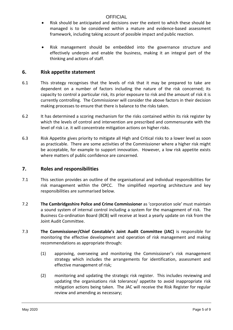- Risk should be anticipated and decisions over the extent to which these should be managed is to be considered within a mature and evidence-based assessment framework, including taking account of possible impact and public reaction.
- Risk management should be embedded into the governance structure and effectively underpin and enable the business, making it an integral part of the thinking and actions of staff.

# **6. Risk appetite statement**

- 6.1 This strategy recognises that the levels of risk that it may be prepared to take are dependent on a number of factors including the nature of the risk concerned; its capacity to control a particular risk, its prior exposure to risk and the amount of risk it is currently controlling. The Commissioner will consider the above factors in their decision making processes to ensure that there is balance to the risks taken.
- 6.2 It has determined a scoring mechanism for the risks contained within its risk register by which the levels of control and intervention are prescribed and commensurate with the level of risk i.e. it will concentrate mitigation actions on higher risks.
- 6.3 Risk Appetite gives priority to mitigate all High and Critical risks to a lower level as soon as practicable. There are some activities of the Commissioner where a higher risk might be acceptable, for example to support innovation. However, a low risk appetite exists where matters of public confidence are concerned.

# **7. Roles and responsibilities**

- 7.1 This section provides an outline of the organisational and individual responsibilities for risk management within the OPCC. The simplified reporting architecture and key responsibilities are summarised below.
- 7.2 **The Cambridgeshire Police and Crime Commissioner** as 'corporation sole' must maintain a sound system of internal control including a system for the management of risk. The Business Co-ordination Board (BCB) will receive at least a yearly update on risk from the Joint Audit Committee.
- 7.3 **The Commissioner/Chief Constable's Joint Audit Committee (JAC)** is responsible for monitoring the effective development and operation of risk management and making recommendations as appropriate through:
	- (1) approving, overseeing and monitoring the Commissioner's risk management strategy which includes the arrangements for identification, assessment and effective management of risk;
	- (2) monitoring and updating the strategic risk register. This includes reviewing and updating the organisations risk tolerance/ appetite to avoid inappropriate risk mitigation actions being taken. The JAC will receive the Risk Register for regular review and amending as necessary;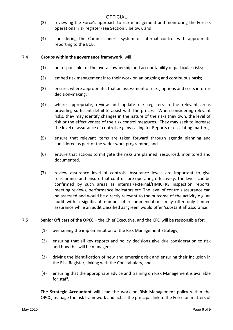- (3) reviewing the Force's approach to risk management and monitoring the Force's operational risk register (see Section 8 below), and
- (4) considering the Commissioner's system of internal control with appropriate reporting to the BCB.

#### 7.4 **Groups within the governance framework,** will:

- (1) be responsible for the overall ownership and accountability of particular risks;
- (2) embed risk management into their work on an ongoing and continuous basis;
- (3) ensure, where appropriate, that an assessment of risks, options and costs informs decision-making;
- (4) where appropriate, review and update risk registers in the relevant areas providing sufficient detail to assist with the process. When considering relevant risks, they may identify changes in the nature of the risks they own, the level of risk or the effectiveness of the risk control measures. They may seek to increase the level of assurance of controls e.g. by calling for Reports or escalating matters;
- (5) ensure that relevant items are taken forward through agenda planning and considered as part of the wider work programme, and
- (6) ensure that actions to mitigate the risks are planned, resourced, monitored and documented.
- (7) review assurance level of controls. Assurance levels are important to give reassurance and ensure that controls are operating effectively. The levels can be confirmed by such areas as internal/external/HMICFRS inspection reports, meeting reviews, performance indicators etc. The level of controls assurance can be assessed and would be directly relevant to the outcome of the activity e.g. an audit with a significant number of recommendations may offer only limited assurance while an audit classified as 'green' would offer 'substantial' assurance.
- 7.5 **Senior Officers of the OPCC** the Chief Executive, and the CFO will be responsible for:
	- (1) overseeing the implementation of the Risk Management Strategy;
	- (2) ensuring that all key reports and policy decisions give due consideration to risk and how this will be managed;
	- (3) driving the identification of new and emerging risk and ensuring their inclusion in the Risk Register, linking with the Constabulary, and
	- (4) ensuring that the appropriate advice and training on Risk Management is available for staff.

**The Strategic Accountant** will lead the work on Risk Management policy within the OPCC; manage the risk framework and act as the principal link to the Force on matters of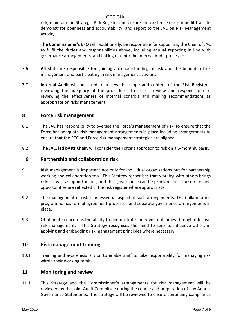risk; maintain the Strategic Risk Register and ensure the existence of clear audit trails to demonstrate openness and accountability, and report to the JAC on Risk Management activity.

**The Commissioner's CFO** will, additionally, be responsible for supporting the Chair of JAC to fulfil the duties and responsibilities above, including annual reporting in line with governance arrangements, and linking risk into the Internal Audit processes.

- 7.6 **All staff** are responsible for gaining an understanding of risk and the benefits of its management and participating in risk management activities.
- 7.7 **Internal Audit** will be asked to review the scope and content of the Risk Registers; reviewing the adequacy of the procedures to assess, review and respond to risk; reviewing the effectiveness of internal controls and making recommendations as appropriate on risks management.

## **8 Force risk management**

- 8.1 The JAC has responsibility to oversee the Force's management of risk, to ensure that the Force has adequate risk management arrangements in place including arrangements to ensure that the PCC and Force risk management strategies are aligned.
- 8.2 **The JAC, led by its Chair,** will consider the Force's approach to risk on a 6-monthly basis.

#### **9 Partnership and collaboration risk**

- 9.1 Risk management is important not only for individual organisations but for partnership working and collaboration too. This Strategy recognises that working with others brings risks as well as opportunities, and that governance can be problematic. These risks and opportunities are reflected in the risk register where appropriate.
- 9.2 The management of risk is an essential aspect of such arrangements. The Collaboration programme has formal agreement processes and separate governance arrangements in place.
- 9.3 Of ultimate concern is the ability to demonstrate improved outcomes through effective risk management. This Strategy recognises the need to seek to influence others in applying and embedding risk management principles where necessary.

#### **10 Risk management training**

10.1 Training and awareness is vital to enable staff to take responsibility for managing risk within their working remit.

#### **11 Monitoring and review**

11.1 This Strategy and the Commissioner's arrangements for risk management will be reviewed by the Joint Audit Committee during the course and preparation of any Annual Governance Statements. The strategy will be reviewed to ensure continuing compliance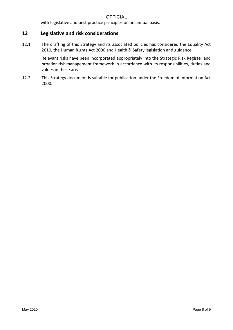with legislative and best practice principles on an annual basis.

# **12 Legislative and risk considerations**

12.1 The drafting of this Strategy and its associated policies has considered the Equality Act 2010, the Human Rights Act 2000 and Health & Safety legislation and guidance.

> Relevant risks have been incorporated appropriately into the Strategic Risk Register and broader risk management framework in accordance with its responsibilities, duties and values in these areas.

12.2 This Strategy document is suitable for publication under the Freedom of Information Act 2000.